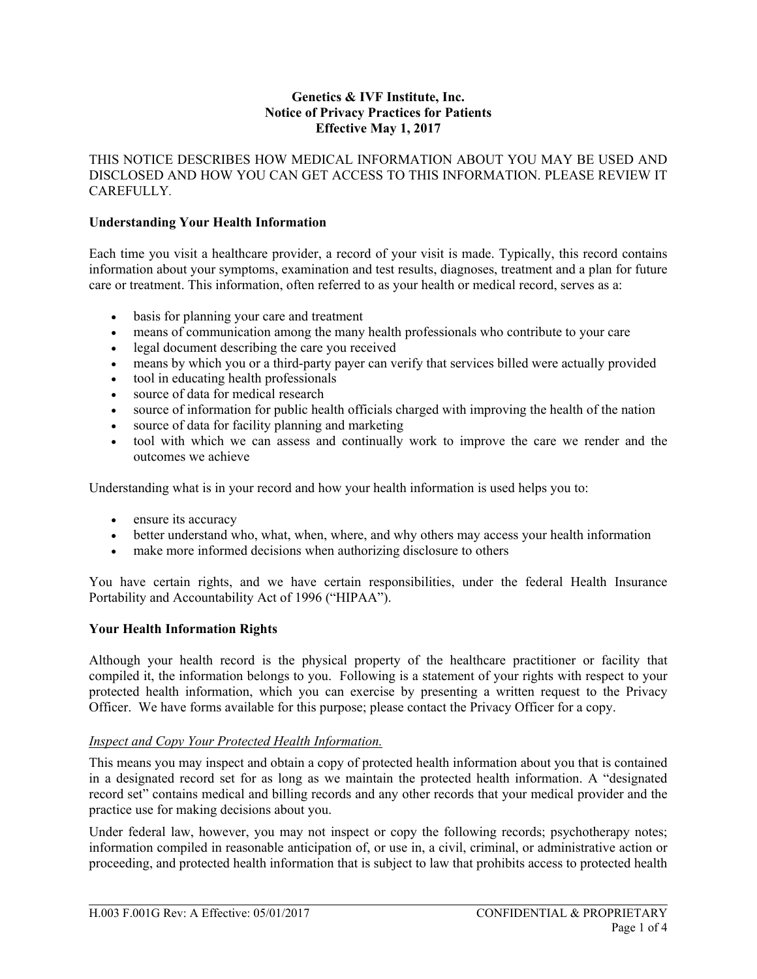#### **Genetics & IVF Institute, Inc. Notice of Privacy Practices for Patients Effective May 1, 2017**

THIS NOTICE DESCRIBES HOW MEDICAL INFORMATION ABOUT YOU MAY BE USED AND DISCLOSED AND HOW YOU CAN GET ACCESS TO THIS INFORMATION. PLEASE REVIEW IT CAREFULLY*.*

## **Understanding Your Health Information**

Each time you visit a healthcare provider, a record of your visit is made. Typically, this record contains information about your symptoms, examination and test results, diagnoses, treatment and a plan for future care or treatment. This information, often referred to as your health or medical record, serves as a:

- basis for planning your care and treatment
- means of communication among the many health professionals who contribute to your care
- legal document describing the care you received
- means by which you or a third-party payer can verify that services billed were actually provided
- tool in educating health professionals
- source of data for medical research
- source of information for public health officials charged with improving the health of the nation
- source of data for facility planning and marketing
- tool with which we can assess and continually work to improve the care we render and the outcomes we achieve

Understanding what is in your record and how your health information is used helps you to:

- ensure its accuracy
- better understand who, what, when, where, and why others may access your health information
- make more informed decisions when authorizing disclosure to others

You have certain rights, and we have certain responsibilities, under the federal Health Insurance Portability and Accountability Act of 1996 ("HIPAA").

## **Your Health Information Rights**

Although your health record is the physical property of the healthcare practitioner or facility that compiled it, the information belongs to you. Following is a statement of your rights with respect to your protected health information, which you can exercise by presenting a written request to the Privacy Officer. We have forms available for this purpose; please contact the Privacy Officer for a copy.

#### *Inspect and Copy Your Protected Health Information.*

This means you may inspect and obtain a copy of protected health information about you that is contained in a designated record set for as long as we maintain the protected health information. A "designated record set" contains medical and billing records and any other records that your medical provider and the practice use for making decisions about you.

Under federal law, however, you may not inspect or copy the following records; psychotherapy notes; information compiled in reasonable anticipation of, or use in, a civil, criminal, or administrative action or proceeding, and protected health information that is subject to law that prohibits access to protected health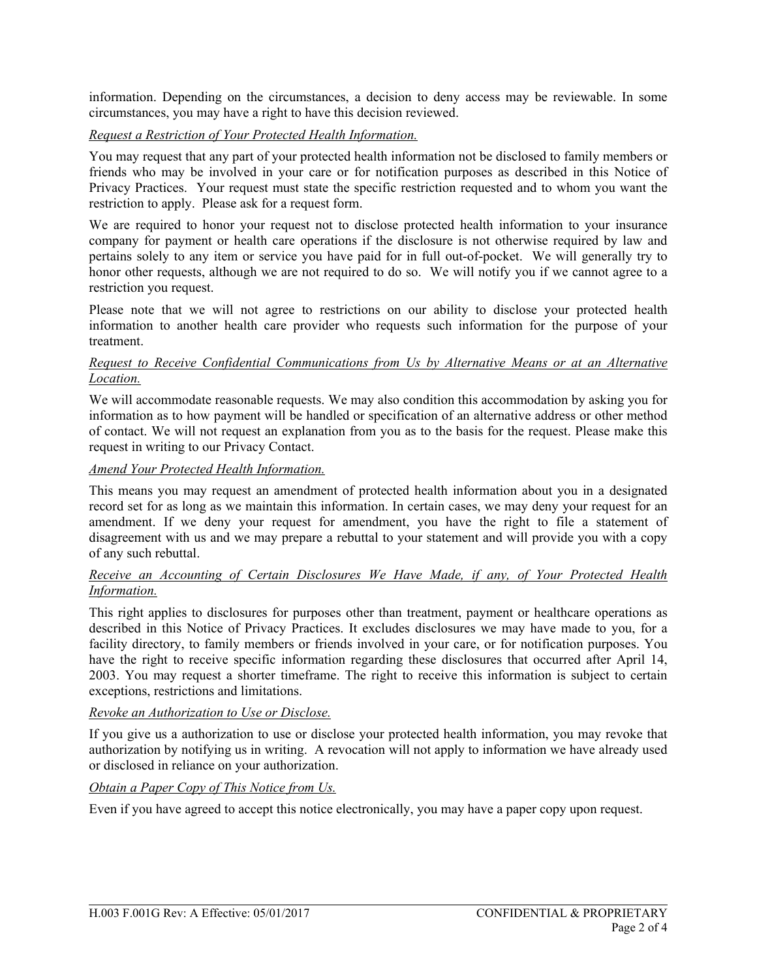information. Depending on the circumstances, a decision to deny access may be reviewable. In some circumstances, you may have a right to have this decision reviewed.

## *Request a Restriction of Your Protected Health Information.*

You may request that any part of your protected health information not be disclosed to family members or friends who may be involved in your care or for notification purposes as described in this Notice of Privacy Practices. Your request must state the specific restriction requested and to whom you want the restriction to apply. Please ask for a request form.

We are required to honor your request not to disclose protected health information to your insurance company for payment or health care operations if the disclosure is not otherwise required by law and pertains solely to any item or service you have paid for in full out-of-pocket. We will generally try to honor other requests, although we are not required to do so. We will notify you if we cannot agree to a restriction you request.

Please note that we will not agree to restrictions on our ability to disclose your protected health information to another health care provider who requests such information for the purpose of your treatment.

## *Request to Receive Confidential Communications from Us by Alternative Means or at an Alternative Location.*

We will accommodate reasonable requests. We may also condition this accommodation by asking you for information as to how payment will be handled or specification of an alternative address or other method of contact. We will not request an explanation from you as to the basis for the request. Please make this request in writing to our Privacy Contact.

# *Amend Your Protected Health Information.*

This means you may request an amendment of protected health information about you in a designated record set for as long as we maintain this information. In certain cases, we may deny your request for an amendment. If we deny your request for amendment, you have the right to file a statement of disagreement with us and we may prepare a rebuttal to your statement and will provide you with a copy of any such rebuttal.

## *Receive an Accounting of Certain Disclosures We Have Made, if any, of Your Protected Health Information.*

This right applies to disclosures for purposes other than treatment, payment or healthcare operations as described in this Notice of Privacy Practices. It excludes disclosures we may have made to you, for a facility directory, to family members or friends involved in your care, or for notification purposes. You have the right to receive specific information regarding these disclosures that occurred after April 14, 2003. You may request a shorter timeframe. The right to receive this information is subject to certain exceptions, restrictions and limitations.

#### *Revoke an Authorization to Use or Disclose.*

If you give us a authorization to use or disclose your protected health information, you may revoke that authorization by notifying us in writing. A revocation will not apply to information we have already used or disclosed in reliance on your authorization.

#### *Obtain a Paper Copy of This Notice from Us.*

Even if you have agreed to accept this notice electronically, you may have a paper copy upon request.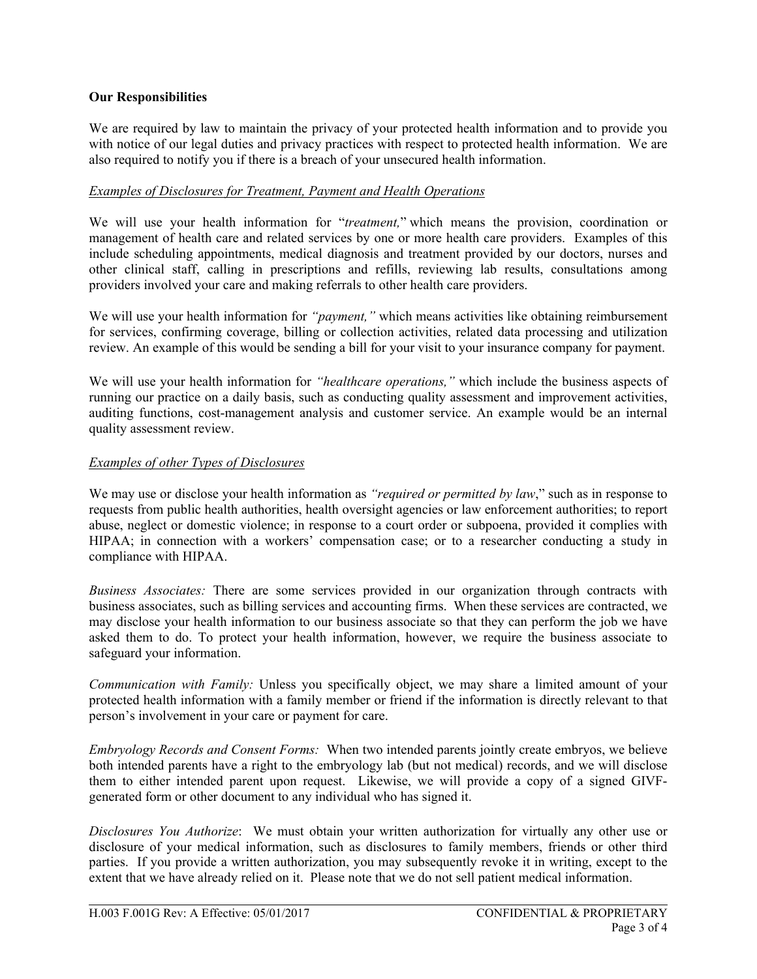## **Our Responsibilities**

We are required by law to maintain the privacy of your protected health information and to provide you with notice of our legal duties and privacy practices with respect to protected health information. We are also required to notify you if there is a breach of your unsecured health information.

## *Examples of Disclosures for Treatment, Payment and Health Operations*

We will use your health information for "*treatment,*" which means the provision, coordination or management of health care and related services by one or more health care providers. Examples of this include scheduling appointments, medical diagnosis and treatment provided by our doctors, nurses and other clinical staff, calling in prescriptions and refills, reviewing lab results, consultations among providers involved your care and making referrals to other health care providers.

We will use your health information for *"payment,"* which means activities like obtaining reimbursement for services, confirming coverage, billing or collection activities, related data processing and utilization review. An example of this would be sending a bill for your visit to your insurance company for payment.

We will use your health information for *"healthcare operations,"* which include the business aspects of running our practice on a daily basis, such as conducting quality assessment and improvement activities, auditing functions, cost-management analysis and customer service. An example would be an internal quality assessment review.

## *Examples of other Types of Disclosures*

We may use or disclose your health information as *"required or permitted by law*," such as in response to requests from public health authorities, health oversight agencies or law enforcement authorities; to report abuse, neglect or domestic violence; in response to a court order or subpoena, provided it complies with HIPAA; in connection with a workers' compensation case; or to a researcher conducting a study in compliance with HIPAA.

*Business Associates:* There are some services provided in our organization through contracts with business associates, such as billing services and accounting firms. When these services are contracted, we may disclose your health information to our business associate so that they can perform the job we have asked them to do. To protect your health information, however, we require the business associate to safeguard your information.

*Communication with Family:* Unless you specifically object, we may share a limited amount of your protected health information with a family member or friend if the information is directly relevant to that person's involvement in your care or payment for care.

*Embryology Records and Consent Forms:* When two intended parents jointly create embryos, we believe both intended parents have a right to the embryology lab (but not medical) records, and we will disclose them to either intended parent upon request. Likewise, we will provide a copy of a signed GIVFgenerated form or other document to any individual who has signed it.

*Disclosures You Authorize*: We must obtain your written authorization for virtually any other use or disclosure of your medical information, such as disclosures to family members, friends or other third parties. If you provide a written authorization, you may subsequently revoke it in writing, except to the extent that we have already relied on it. Please note that we do not sell patient medical information.